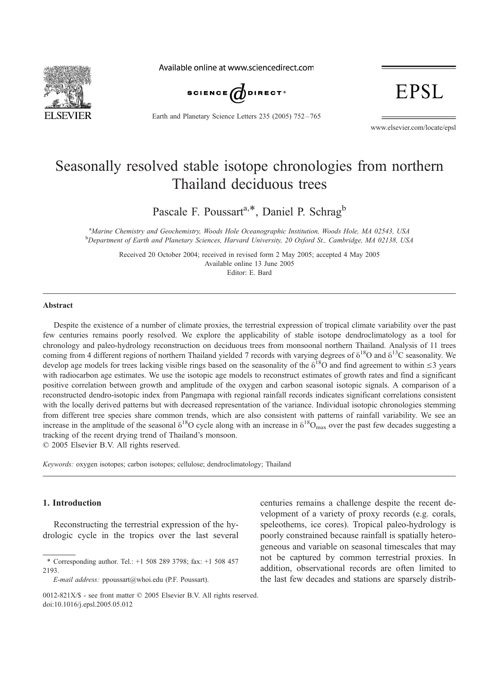

Available online at www.sciencedirect.com



Earth and Planetary Science Letters 235 (2005) 752 – 765

EPSL

www.elsevier.com/locate/epsl

# Seasonally resolved stable isotope chronologies from northern Thailand deciduous trees

Pascale F. Poussart<sup>a,\*</sup>, Daniel P. Schrag<sup>b</sup>

<sup>a</sup>Marine Chemistry and Geochemistry, Woods Hole Oceanographic Institution, Woods Hole, MA 02543, USA<br><sup>b</sup>Department of Fauth and Planetam Sciences, Hamand University, 20 Oxford St. Cambridge, MA 02128, US <sup>b</sup>Department of Earth and Planetary Sciences, Harvard University, 20 Oxford St., Cambridge, MA 02138, USA

Received 20 October 2004; received in revised form 2 May 2005; accepted 4 May 2005 Available online 13 June 2005 Editor: E. Bard

#### Abstract

Despite the existence of a number of climate proxies, the terrestrial expression of tropical climate variability over the past few centuries remains poorly resolved. We explore the applicability of stable isotope dendroclimatology as a tool for chronology and paleo-hydrology reconstruction on deciduous trees from monsoonal northern Thailand. Analysis of 11 trees coming from 4 different regions of northern Thailand yielded 7 records with varying degrees of  $\delta^{18}O$  and  $\delta^{13}C$  seasonality. We develop age models for trees lacking visible rings based on the seasonality of the  $\delta^{18}$ O and find agreement to within  $\leq$ 3 years with radiocarbon age estimates. We use the isotopic age models to reconstruct estimates of growth rates and find a significant positive correlation between growth and amplitude of the oxygen and carbon seasonal isotopic signals. A comparison of a reconstructed dendro-isotopic index from Pangmapa with regional rainfall records indicates significant correlations consistent with the locally derived patterns but with decreased representation of the variance. Individual isotopic chronologies stemming from different tree species share common trends, which are also consistent with patterns of rainfall variability. We see an increase in the amplitude of the seasonal  $\delta^{18}O$  cycle along with an increase in  $\delta^{18}O_{\text{max}}$  over the past few decades suggesting a tracking of the recent drying trend of Thailand's monsoon.

 $© 2005 Elsevier B.V. All rights reserved.$ 

Keywords: oxygen isotopes; carbon isotopes; cellulose; dendroclimatology; Thailand

### 1. Introduction

Reconstructing the terrestrial expression of the hydrologic cycle in the tropics over the last several centuries remains a challenge despite the recent development of a variety of proxy records (e.g. corals, speleothems, ice cores). Tropical paleo-hydrology is poorly constrained because rainfall is spatially heterogeneous and variable on seasonal timescales that may not be captured by common terrestrial proxies. In addition, observational records are often limited to the last few decades and stations are sparsely distrib-

<sup>\*</sup> Corresponding author. Tel.: +1 508 289 3798; fax: +1 508 457 2193.

E-mail address: ppoussart@whoi.edu (P.F. Poussart).

<sup>0012-821</sup> $X/S$  - see front matter  $\odot$  2005 Elsevier B.V. All rights reserved. doi:10.1016/j.epsl.2005.05.012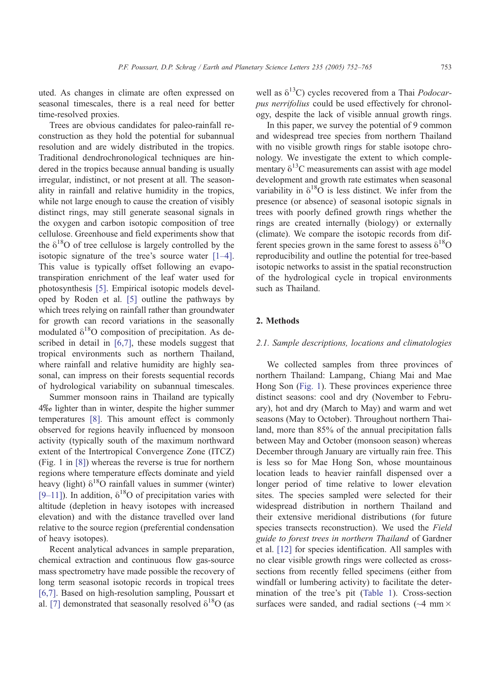uted. As changes in climate are often expressed on seasonal timescales, there is a real need for better time-resolved proxies.

Trees are obvious candidates for paleo-rainfall reconstruction as they hold the potential for subannual resolution and are widely distributed in the tropics. Traditional dendrochronological techniques are hindered in the tropics because annual banding is usually irregular, indistinct, or not present at all. The seasonality in rainfall and relative humidity in the tropics, while not large enough to cause the creation of visibly distinct rings, may still generate seasonal signals in the oxygen and carbon isotopic composition of tree cellulose. Greenhouse and field experiments show that the  $\delta^{18}$ O of tree cellulose is largely controlled by the isotopic signature of the tree's source water [\[1–4\].](#page-12-0) This value is typically offset following an evapotranspiration enrichment of the leaf water used for photosynthesis [\[5\].](#page-12-0) Empirical isotopic models developed by Roden et al. [\[5\]](#page-12-0) outline the pathways by which trees relying on rainfall rather than groundwater for growth can record variations in the seasonally modulated  $\delta^{18}O$  composition of precipitation. As de-scribed in detail in [\[6,7\],](#page-12-0) these models suggest that tropical environments such as northern Thailand, where rainfall and relative humidity are highly seasonal, can impress on their forests sequential records of hydrological variability on subannual timescales.

Summer monsoon rains in Thailand are typically  $4\%$  lighter than in winter, despite the higher summer temperatures [\[8\].](#page-12-0) This amount effect is commonly observed for regions heavily influenced by monsoon activity (typically south of the maximum northward extent of the Intertropical Convergence Zone (ITCZ) (Fig. 1 in [\[8\]\)](#page-12-0) whereas the reverse is true for northern regions where temperature effects dominate and yield heavy (light)  $\delta^{18}$ O rainfall values in summer (winter) [\[9–11\]\)](#page-12-0). In addition,  $\delta^{18}$ O of precipitation varies with altitude (depletion in heavy isotopes with increased elevation) and with the distance travelled over land relative to the source region (preferential condensation of heavy isotopes).

Recent analytical advances in sample preparation, chemical extraction and continuous flow gas-source mass spectrometry have made possible the recovery of long term seasonal isotopic records in tropical trees [\[6,7\].](#page-12-0) Based on high-resolution sampling, Poussart et al. [\[7\]](#page-12-0) demonstrated that seasonally resolved  $\delta^{18}O$  (as well as  $\delta^{13}$ C) cycles recovered from a Thai *Podocar*pus nerrifolius could be used effectively for chronology, despite the lack of visible annual growth rings.

In this paper, we survey the potential of 9 common and widespread tree species from northern Thailand with no visible growth rings for stable isotope chronology. We investigate the extent to which complementary  $\delta^{13}$ C measurements can assist with age model development and growth rate estimates when seasonal variability in  $\delta^{18}O$  is less distinct. We infer from the presence (or absence) of seasonal isotopic signals in trees with poorly defined growth rings whether the rings are created internally (biology) or externally (climate). We compare the isotopic records from different species grown in the same forest to assess  $\delta^{18}O$ reproducibility and outline the potential for tree-based isotopic networks to assist in the spatial reconstruction of the hydrological cycle in tropical environments such as Thailand.

#### 2. Methods

## 2.1. Sample descriptions, locations and climatologies

We collected samples from three provinces of northern Thailand: Lampang, Chiang Mai and Mae Hong Son ([Fig. 1\)](#page-2-0). These provinces experience three distinct seasons: cool and dry (November to February), hot and dry (March to May) and warm and wet seasons (May to October). Throughout northern Thailand, more than 85% of the annual precipitation falls between May and October (monsoon season) whereas December through January are virtually rain free. This is less so for Mae Hong Son, whose mountainous location leads to heavier rainfall dispensed over a longer period of time relative to lower elevation sites. The species sampled were selected for their widespread distribution in northern Thailand and their extensive meridional distributions (for future species transects reconstruction). We used the Field guide to forest trees in northern Thailand of Gardner et al. [\[12\]](#page-12-0) for species identification. All samples with no clear visible growth rings were collected as crosssections from recently felled specimens (either from windfall or lumbering activity) to facilitate the determination of the tree's pit ([Table 1\)](#page-3-0). Cross-section surfaces were sanded, and radial sections ( $\sim$ 4 mm  $\times$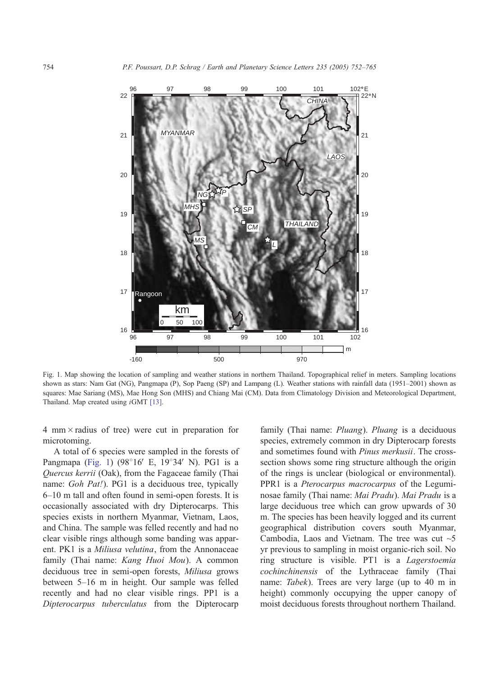<span id="page-2-0"></span>

Fig. 1. Map showing the location of sampling and weather stations in northern Thailand. Topographical relief in meters. Sampling locations shown as stars: Nam Gat (NG), Pangmapa (P), Sop Paeng (SP) and Lampang (L). Weather stations with rainfall data (1951–2001) shown as squares: Mae Sariang (MS), Mae Hong Son (MHS) and Chiang Mai (CM). Data from Climatology Division and Meteorological Department, Thailand. Map created using iGMT [\[13\].](#page-12-0)

4 mm  $\times$  radius of tree) were cut in preparation for microtoming.

A total of 6 species were sampled in the forests of Pangmapa (Fig. 1)  $(98^{\circ}16'$  E,  $19^{\circ}34'$  N). PG1 is a Quercus kerrii (Oak), from the Fagaceae family (Thai name: Goh Pat!). PG1 is a deciduous tree, typically 6–10 m tall and often found in semi-open forests. It is occasionally associated with dry Dipterocarps. This species exists in northern Myanmar, Vietnam, Laos, and China. The sample was felled recently and had no clear visible rings although some banding was apparent. PK1 is a *Miliusa velutina*, from the Annonaceae family (Thai name: Kang Huoi Mou). A common deciduous tree in semi-open forests, Miliusa grows between 5–16 m in height. Our sample was felled recently and had no clear visible rings. PP1 is a Dipterocarpus tuberculatus from the Dipterocarp

family (Thai name: *Pluang*). *Pluang* is a deciduous species, extremely common in dry Dipterocarp forests and sometimes found with Pinus merkusii. The crosssection shows some ring structure although the origin of the rings is unclear (biological or environmental). PPR1 is a Pterocarpus macrocarpus of the Leguminosae family (Thai name: Mai Pradu). Mai Pradu is a large deciduous tree which can grow upwards of 30 m. The species has been heavily logged and its current geographical distribution covers south Myanmar, Cambodia, Laos and Vietnam. The tree was cut  $\sim$ 5 yr previous to sampling in moist organic-rich soil. No ring structure is visible. PT1 is a Lagerstoemia cochinchinensis of the Lythraceae family (Thai name: *Tabek*). Trees are very large (up to 40 m in height) commonly occupying the upper canopy of moist deciduous forests throughout northern Thailand.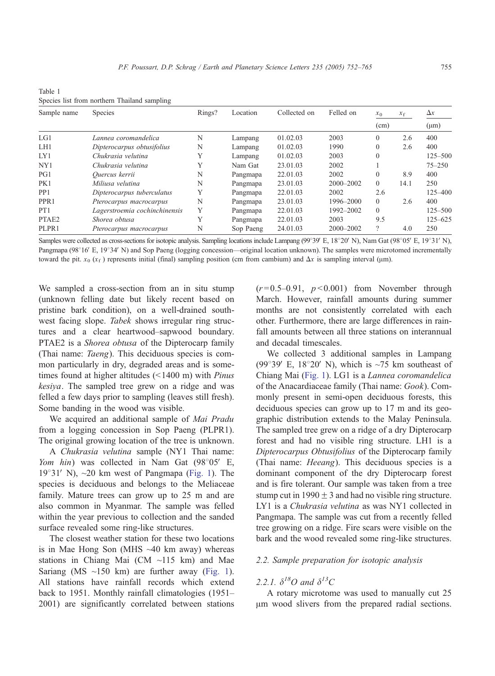<span id="page-3-0"></span>Table 1 Species list from northern Thailand sampling

| Sample name       | Species                       | Rings? | Location  | Collected on | Felled on     | $x_0$    | $x_f$ | $\Delta x$  |
|-------------------|-------------------------------|--------|-----------|--------------|---------------|----------|-------|-------------|
|                   |                               |        |           |              |               | (cm)     |       | $(\mu m)$   |
| LGI               | Lannea coromandelica          | N      | Lampang   | 01.02.03     | 2003          | $\Omega$ | 2.6   | 400         |
| LH1               | Dipterocarpus obtusifolius    | N      | Lampang   | 01.02.03     | 1990          | $\theta$ | 2.6   | 400         |
| IX1               | Chukrasia velutina            | Y      | Lampang   | 01.02.03     | 2003          | $\Omega$ |       | $125 - 500$ |
| NY <sub>1</sub>   | Chukrasia velutina            | Y      | Nam Gat   | 23.01.03     | 2002          |          |       | $75 - 250$  |
| PG1               | Quercus kerrii                | N      | Pangmapa  | 22.01.03     | 2002          | $\Omega$ | 8.9   | 400         |
| PK1               | Miliusa velutina              | N      | Pangmapa  | 23.01.03     | $2000 - 2002$ | $\Omega$ | 14.1  | 250         |
| PP <sub>1</sub>   | Dipterocarpus tuberculatus    | Y      | Pangmapa  | 22.01.03     | 2002          | 2.6      |       | $125 - 400$ |
| PPR <sub>1</sub>  | Pterocarpus macrocarpus       | N      | Pangmapa  | 23.01.03     | 1996-2000     | $\Omega$ | 2.6   | 400         |
| PT <sub>1</sub>   | Lagerstroemia cochinchinensis | Y      | Pangmapa  | 22.01.03     | 1992-2002     | $\Omega$ |       | $125 - 500$ |
| PTAE <sub>2</sub> | Shorea obtusa                 | Y      | Pangmapa  | 22.01.03     | 2003          | 9.5      |       | $125 - 625$ |
| PLPR1             | Pterocarpus macrocarpus       | N      | Sop Paeng | 24.01.03     | 2000-2002     | $\gamma$ | 4.0   | 250         |

Samples were collected as cross-sections for isotopic analysis. Sampling locations include Lampang (99°39′ E, 18°20′ N), Nam Gat (98°05′ E, 19°31′ N), Pangmapa (98°16' E, 19°34' N) and Sop Paeng (logging concession—original location unknown). The samples were microtomed incrementally toward the pit.  $x_0$  ( $x_f$ ) represents initial (final) sampling position (cm from cambium) and  $\Delta x$  is sampling interval ( $\mu$ m).

We sampled a cross-section from an in situ stump (unknown felling date but likely recent based on pristine bark condition), on a well-drained southwest facing slope. Tabek shows irregular ring structures and a clear heartwood–sapwood boundary. PTAE2 is a *Shorea obtusa* of the Dipterocarp family (Thai name: Taeng). This deciduous species is common particularly in dry, degraded areas and is sometimes found at higher altitudes  $($  < 1400 m) with *Pinus* kesiya. The sampled tree grew on a ridge and was felled a few days prior to sampling (leaves still fresh). Some banding in the wood was visible.

We acquired an additional sample of *Mai Pradu* from a logging concession in Sop Paeng (PLPR1). The original growing location of the tree is unknown.

A Chukrasia velutina sample (NY1 Thai name: Yom hin) was collected in Nam Gat  $(98°05'$  E,  $19^{\circ}31'$  N),  $\sim$ 20 km west of Pangmapa ([Fig. 1\)](#page-2-0). The species is deciduous and belongs to the Meliaceae family. Mature trees can grow up to 25 m and are also common in Myanmar. The sample was felled within the year previous to collection and the sanded surface revealed some ring-like structures.

The closest weather station for these two locations is in Mae Hong Son (MHS ~40 km away) whereas stations in Chiang Mai (CM ~115 km) and Mae Sariang (MS ~150 km) are further away ([Fig. 1\)](#page-2-0). All stations have rainfall records which extend back to 1951. Monthly rainfall climatologies (1951– 2001) are significantly correlated between stations  $(r=0.5-0.91, p<0.001)$  from November through March. However, rainfall amounts during summer months are not consistently correlated with each other. Furthermore, there are large differences in rainfall amounts between all three stations on interannual and decadal timescales.

We collected 3 additional samples in Lampang (99 $\degree$ 39' E, 18 $\degree$ 20' N), which is ~75 km southeast of Chiang Mai ([Fig. 1\)](#page-2-0). LG1 is a Lannea coromandelica of the Anacardiaceae family (Thai name: Gook). Commonly present in semi-open deciduous forests, this deciduous species can grow up to 17 m and its geographic distribution extends to the Malay Peninsula. The sampled tree grew on a ridge of a dry Dipterocarp forest and had no visible ring structure. LH1 is a Dipterocarpus Obtusifolius of the Dipterocarp family (Thai name: Heeang). This deciduous species is a dominant component of the dry Dipterocarp forest and is fire tolerant. Our sample was taken from a tree stump cut in 1990  $\pm$  3 and had no visible ring structure. LY1 is a Chukrasia velutina as was NY1 collected in Pangmapa. The sample was cut from a recently felled tree growing on a ridge. Fire scars were visible on the bark and the wood revealed some ring-like structures.

#### 2.2. Sample preparation for isotopic analysis

# 2.2.1.  $\delta^{18}O$  and  $\delta^{13}C$

A rotary microtome was used to manually cut 25  $\mu$ m wood slivers from the prepared radial sections.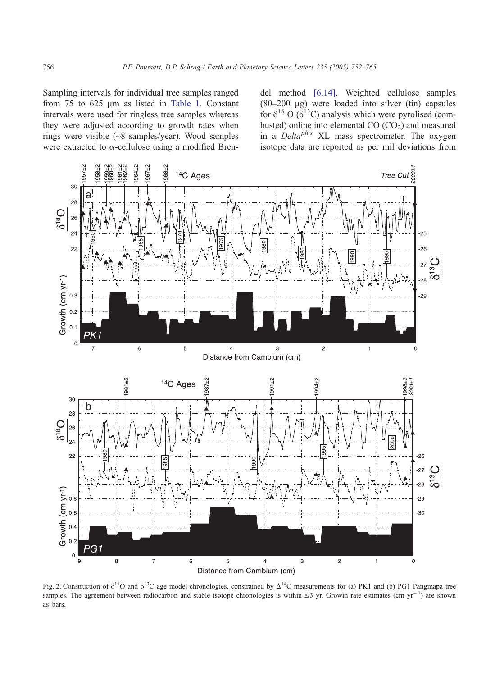<span id="page-4-0"></span>Sampling intervals for individual tree samples ranged from  $75$  to  $625 \mu m$  as listed in [Table 1.](#page-3-0) Constant intervals were used for ringless tree samples whereas they were adjusted according to growth rates when rings were visible (~8 samples/year). Wood samples were extracted to  $\alpha$ -cellulose using a modified Bren-

del method [\[6,14\].](#page-12-0) Weighted cellulose samples (80–200 Ag) were loaded into silver (tin) capsules for  $\delta^{18}$  O ( $\delta^{13}$ C) analysis which were pyrolised (combusted) online into elemental  $CO (CO<sub>2</sub>)$  and measured in a  $Delta^{plus}$  XL mass spectrometer. The oxygen isotope data are reported as per mil deviations from



Fig. 2. Construction of  $\delta^{18}O$  and  $\delta^{13}C$  age model chronologies, constrained by  $\Delta^{14}C$  measurements for (a) PK1 and (b) PG1 Pangmapa tree samples. The agreement between radiocarbon and stable isotope chronologies is within  $\leq$ 3 yr. Growth rate estimates (cm yr<sup>-1</sup>) are shown as bars.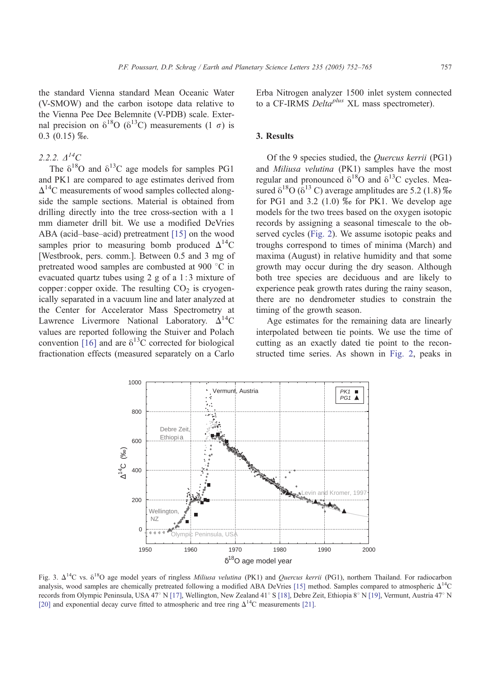<span id="page-5-0"></span>the standard Vienna standard Mean Oceanic Water (V-SMOW) and the carbon isotope data relative to the Vienna Pee Dee Belemnite (V-PDB) scale. External precision on  $\delta^{18}O$  ( $\delta^{13}C$ ) measurements (1  $\sigma$ ) is  $0.3$   $(0.15)$  \% $0.05$ .

## 2.2.2.  $\triangle^{14}C$

The  $\delta^{18}$ O and  $\delta^{13}$ C age models for samples PG1 and PK1 are compared to age estimates derived from  $\Delta^{14}$ C measurements of wood samples collected alongside the sample sections. Material is obtained from drilling directly into the tree cross-section with a 1 mm diameter drill bit. We use a modified DeVries ABA (acid–base–acid) pretreatment [\[15\]](#page-12-0) on the wood samples prior to measuring bomb produced  $\Delta^{14}C$ [Westbrook, pers. comm.]. Between 0.5 and 3 mg of pretreated wood samples are combusted at 900 °C in evacuated quartz tubes using 2 g of a 1: 3 mixture of copper: copper oxide. The resulting  $CO<sub>2</sub>$  is cryogenically separated in a vacuum line and later analyzed at the Center for Accelerator Mass Spectrometry at Lawrence Livermore National Laboratory.  $\Delta^{14}C$ values are reported following the Stuiver and Polach convention [\[16\]](#page-12-0) and are  $\delta^{13}$ C corrected for biological fractionation effects (measured separately on a Carlo

Erba Nitrogen analyzer 1500 inlet system connected to a CF-IRMS  $Delta^{plus}$  XL mass spectrometer).

## 3. Results

Of the 9 species studied, the Quercus kerrii (PG1) and Miliusa velutina (PK1) samples have the most regular and pronounced  $\delta^{18}O$  and  $\delta^{13}C$  cycles. Measured  $\delta^{18}O$  ( $\delta^{13}$  C) average amplitudes are 5.2 (1.8)  $\%$ for PG1 and 3.2  $(1.0)$  % for PK1. We develop age models for the two trees based on the oxygen isotopic records by assigning a seasonal timescale to the observed cycles ([Fig. 2\)](#page-4-0). We assume isotopic peaks and troughs correspond to times of minima (March) and maxima (August) in relative humidity and that some growth may occur during the dry season. Although both tree species are deciduous and are likely to experience peak growth rates during the rainy season, there are no dendrometer studies to constrain the timing of the growth season.

Age estimates for the remaining data are linearly interpolated between tie points. We use the time of cutting as an exactly dated tie point to the reconstructed time series. As shown in [Fig. 2,](#page-4-0) peaks in



Fig. 3.  $\Delta^{14}C$  vs.  $\delta^{18}O$  age model years of ringless *Miliusa velutina* (PK1) and *Quercus kerrii* (PG1), northern Thailand. For radiocarbon analysis, wood samples are chemically pretreated following a modified ABA DeVries [\[15\]](#page-12-0) method. Samples compared to atmospheric  $\Delta^{14}$ C records from Olympic Peninsula, USA 47° N [\[17\],](#page-12-0) Wellington, New Zealand 41° S [\[18\],](#page-12-0) Debre Zeit, Ethiopia 8° N [\[19\],](#page-12-0) Vermunt, Austria 47° N [\[20\]](#page-12-0) and exponential decay curve fitted to atmospheric and tree ring  $\Delta^{14}$ C measurements [\[21\].](#page-12-0)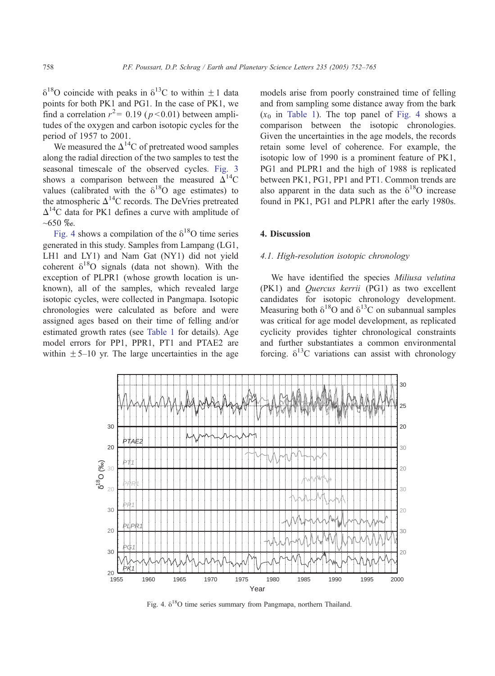<span id="page-6-0"></span> $\delta^{18}$ O coincide with peaks in  $\delta^{13}$ C to within  $\pm$  1 data points for both PK1 and PG1. In the case of PK1, we find a correlation  $r^2$  = 0.19 ( $p$  < 0.01) between amplitudes of the oxygen and carbon isotopic cycles for the period of 1957 to 2001.

We measured the  $\Delta^{14}$ C of pretreated wood samples along the radial direction of the two samples to test the seasonal timescale of the observed cycles. [Fig. 3](#page-5-0) shows a comparison between the measured  $\Delta^{14}C$ values (calibrated with the  $\delta^{18}O$  age estimates) to the atmospheric  $\Delta^{14}$ C records. The DeVries pretreated  $\Delta^{14}$ C data for PK1 defines a curve with amplitude of  $~100~\%$ .

Fig. 4 shows a compilation of the  $\delta^{18}$ O time series generated in this study. Samples from Lampang (LG1, LH1 and LY1) and Nam Gat (NY1) did not yield coherent  $\delta^{18}O$  signals (data not shown). With the exception of PLPR1 (whose growth location is unknown), all of the samples, which revealed large isotopic cycles, were collected in Pangmapa. Isotopic chronologies were calculated as before and were assigned ages based on their time of felling and/or estimated growth rates (see [Table 1](#page-3-0) for details). Age model errors for PP1, PPR1, PT1 and PTAE2 are within  $\pm$  5–10 yr. The large uncertainties in the age models arise from poorly constrained time of felling and from sampling some distance away from the bark  $(x_0$  in [Table 1\)](#page-3-0). The top panel of Fig. 4 shows a comparison between the isotopic chronologies. Given the uncertainties in the age models, the records retain some level of coherence. For example, the isotopic low of 1990 is a prominent feature of PK1, PG1 and PLPR1 and the high of 1988 is replicated between PK1, PG1, PP1 and PT1. Common trends are also apparent in the data such as the  $\delta^{18}O$  increase found in PK1, PG1 and PLPR1 after the early 1980s.

### 4. Discussion

#### 4.1. High-resolution isotopic chronology

We have identified the species Miliusa velutina (PK1) and Quercus kerrii (PG1) as two excellent candidates for isotopic chronology development. Measuring both  $\delta^{18}O$  and  $\delta^{13}C$  on subannual samples was critical for age model development, as replicated cyclicity provides tighter chronological constraints and further substantiates a common environmental forcing.  $\delta^{13}$ C variations can assist with chronology

![](_page_6_Figure_9.jpeg)

Fig. 4.  $\delta^{18}$ O time series summary from Pangmapa, northern Thailand.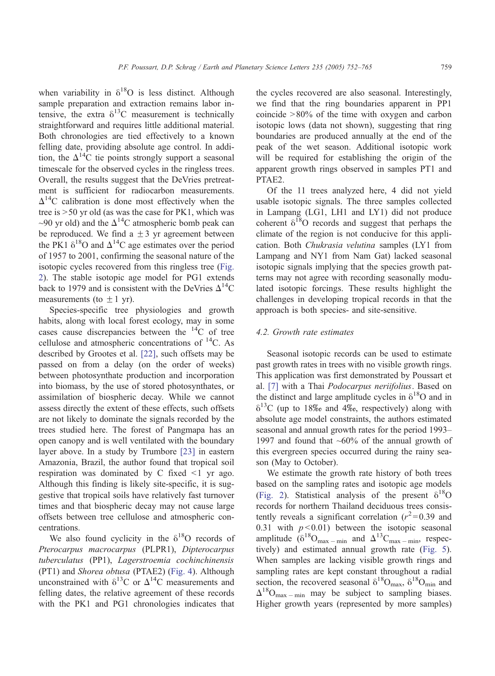when variability in  $\delta^{18}O$  is less distinct. Although sample preparation and extraction remains labor intensive, the extra  $\delta^{13}$ C measurement is technically straightforward and requires little additional material. Both chronologies are tied effectively to a known felling date, providing absolute age control. In addition, the  $\Delta^{14}$ C tie points strongly support a seasonal timescale for the observed cycles in the ringless trees. Overall, the results suggest that the DeVries pretreatment is sufficient for radiocarbon measurements.  $\Delta^{14}$ C calibration is done most effectively when the tree is  $>$  50 yr old (as was the case for PK1, which was ~90 yr old) and the  $\Delta^{14}$ C atmospheric bomb peak can be reproduced. We find a  $\pm$  3 yr agreement between the PK1  $\delta^{18}$ O and  $\Delta^{14}$ C age estimates over the period of 1957 to 2001, confirming the seasonal nature of the isotopic cycles recovered from this ringless tree ([Fig.](#page-4-0) 2). The stable isotopic age model for PG1 extends back to 1979 and is consistent with the DeVries  $\Delta^{14}$ C measurements (to  $\pm$  1 yr).

Species-specific tree physiologies and growth habits, along with local forest ecology, may in some cases cause discrepancies between the  $14^{\circ}$ C of tree cellulose and atmospheric concentrations of  $^{14}$ C. As described by Grootes et al. [\[22\],](#page-13-0) such offsets may be passed on from a delay (on the order of weeks) between photosynthate production and incorporation into biomass, by the use of stored photosynthates, or assimilation of biospheric decay. While we cannot assess directly the extent of these effects, such offsets are not likely to dominate the signals recorded by the trees studied here. The forest of Pangmapa has an open canopy and is well ventilated with the boundary layer above. In a study by Trumbore [\[23\]](#page-13-0) in eastern Amazonia, Brazil, the author found that tropical soil respiration was dominated by C fixed  $\leq 1$  yr ago. Although this finding is likely site-specific, it is suggestive that tropical soils have relatively fast turnover times and that biospheric decay may not cause large offsets between tree cellulose and atmospheric concentrations.

We also found cyclicity in the  $\delta^{18}O$  records of Pterocarpus macrocarpus (PLPR1), Dipterocarpus tuberculatus (PP1), Lagerstroemia cochinchinensis (PT1) and Shorea obtusa (PTAE2) ([Fig. 4\)](#page-6-0). Although unconstrained with  $\delta^{13}$ C or  $\Delta^{14}$ C measurements and felling dates, the relative agreement of these records with the PK1 and PG1 chronologies indicates that the cycles recovered are also seasonal. Interestingly, we find that the ring boundaries apparent in PP1 coincide  $>80\%$  of the time with oxygen and carbon isotopic lows (data not shown), suggesting that ring boundaries are produced annually at the end of the peak of the wet season. Additional isotopic work will be required for establishing the origin of the apparent growth rings observed in samples PT1 and PTAE2.

Of the 11 trees analyzed here, 4 did not yield usable isotopic signals. The three samples collected in Lampang (LG1, LH1 and LY1) did not produce coherent  $\delta^{18}$ O records and suggest that perhaps the climate of the region is not conducive for this application. Both Chukrasia velutina samples (LY1 from Lampang and NY1 from Nam Gat) lacked seasonal isotopic signals implying that the species growth patterns may not agree with recording seasonally modulated isotopic forcings. These results highlight the challenges in developing tropical records in that the approach is both species- and site-sensitive.

## 4.2. Growth rate estimates

Seasonal isotopic records can be used to estimate past growth rates in trees with no visible growth rings. This application was first demonstrated by Poussart et al. [\[7\]](#page-12-0) with a Thai Podocarpus neriifolius. Based on the distinct and large amplitude cycles in  $\delta^{18}$ O and in  $\delta^{13}$ C (up to 18‰ and 4‰, respectively) along with absolute age model constraints, the authors estimated seasonal and annual growth rates for the period 1993– 1997 and found that  $~60\%$  of the annual growth of this evergreen species occurred during the rainy season (May to October).

We estimate the growth rate history of both trees based on the sampling rates and isotopic age models ([Fig. 2\)](#page-4-0). Statistical analysis of the present  $\delta^{18}O$ records for northern Thailand deciduous trees consistently reveals a significant correlation ( $r^2$ =0.39 and 0.31 with  $p < 0.01$ ) between the isotopic seasonal amplitude  $(\delta^{18}O_{\text{max}} - \text{min})$  and  $\Delta^{13}C_{\text{max}} - \text{min}$ , respectively) and estimated annual growth rate ([Fig. 5\)](#page-8-0). When samples are lacking visible growth rings and sampling rates are kept constant throughout a radial section, the recovered seasonal  $\delta^{18}O_{\text{max}}$ ,  $\delta^{18}O_{\text{min}}$  and  $\Delta^{18}O_{\text{max - min}}$  may be subject to sampling biases. Higher growth years (represented by more samples)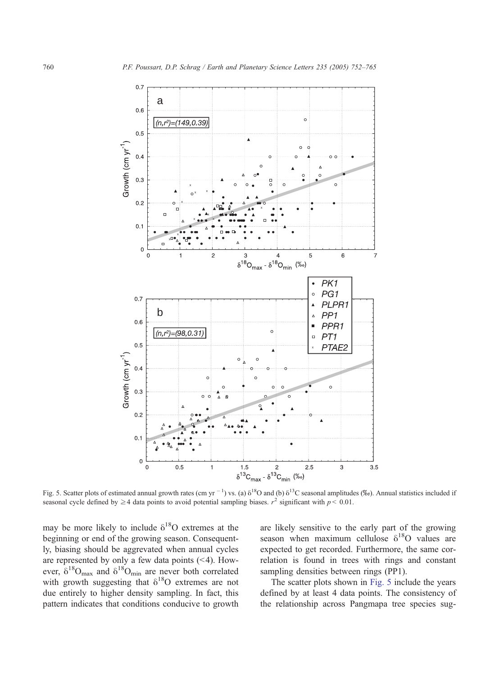<span id="page-8-0"></span>![](_page_8_Figure_1.jpeg)

Fig. 5. Scatter plots of estimated annual growth rates (cm yr  $^{-1}$ ) vs. (a)  $\delta^{18}O$  and (b)  $\delta^{13}C$  seasonal amplitudes (%o). Annual statistics included if seasonal cycle defined by  $\geq 4$  data points to avoid potential sampling biases.  $r^2$  significant with  $p < 0.01$ .

may be more likely to include  $\delta^{18}O$  extremes at the beginning or end of the growing season. Consequently, biasing should be aggrevated when annual cycles are represented by only a few data points  $(< 4)$ . However,  $\delta^{18}O_{\text{max}}$  and  $\delta^{18}O_{\text{min}}$  are never both correlated with growth suggesting that  $\delta^{18}$ O extremes are not due entirely to higher density sampling. In fact, this pattern indicates that conditions conducive to growth

are likely sensitive to the early part of the growing season when maximum cellulose  $\delta^{18}O$  values are expected to get recorded. Furthermore, the same correlation is found in trees with rings and constant sampling densities between rings (PP1).

The scatter plots shown in Fig. 5 include the years defined by at least 4 data points. The consistency of the relationship across Pangmapa tree species sug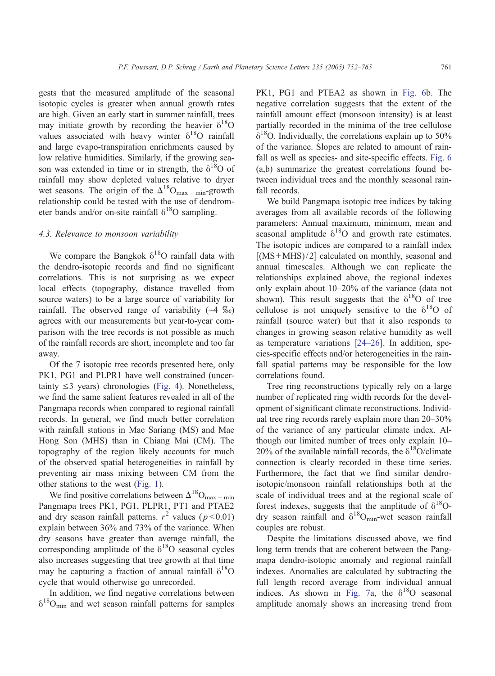gests that the measured amplitude of the seasonal isotopic cycles is greater when annual growth rates are high. Given an early start in summer rainfall, trees may initiate growth by recording the heavier  $\delta^{18}O$ values associated with heavy winter  $\delta^{18}O$  rainfall and large evapo-transpiration enrichments caused by low relative humidities. Similarly, if the growing season was extended in time or in strength, the  $\delta^{18}O$  of rainfall may show depleted values relative to dryer wet seasons. The origin of the  $\Delta^{18}O_{\text{max - min}}$ -growth relationship could be tested with the use of dendrometer bands and/or on-site rainfall  $\delta^{18}O$  sampling.

## 4.3. Relevance to monsoon variability

We compare the Bangkok  $\delta^{18}$ O rainfall data with the dendro-isotopic records and find no significant correlations. This is not surprising as we expect local effects (topography, distance travelled from source waters) to be a large source of variability for rainfall. The observed range of variability  $(\sim 4 \degree\%)$ agrees with our measurements but year-to-year comparison with the tree records is not possible as much of the rainfall records are short, incomplete and too far away.

Of the 7 isotopic tree records presented here, only PK1, PG1 and PLPR1 have well constrained (uncertainty  $\leq$ 3 years) chronologies ([Fig. 4\)](#page-6-0). Nonetheless, we find the same salient features revealed in all of the Pangmapa records when compared to regional rainfall records. In general, we find much better correlation with rainfall stations in Mae Sariang (MS) and Mae Hong Son (MHS) than in Chiang Mai (CM). The topography of the region likely accounts for much of the observed spatial heterogeneities in rainfall by preventing air mass mixing between CM from the other stations to the west ([Fig. 1\)](#page-2-0).

We find positive correlations between  $\Delta^{18}O_{\text{max - min}}$ Pangmapa trees PK1, PG1, PLPR1, PT1 and PTAE2 and dry season rainfall patterns.  $r^2$  values ( $p < 0.01$ ) explain between 36% and 73% of the variance. When dry seasons have greater than average rainfall, the corresponding amplitude of the  $\delta^{18}O$  seasonal cycles also increases suggesting that tree growth at that time may be capturing a fraction of annual rainfall  $\delta^{18}O$ cycle that would otherwise go unrecorded.

In addition, we find negative correlations between  $\delta^{18}O_{\text{min}}$  and wet season rainfall patterns for samples

PK1, PG1 and PTEA2 as shown in [Fig. 6b](#page-10-0). The negative correlation suggests that the extent of the rainfall amount effect (monsoon intensity) is at least partially recorded in the minima of the tree cellulose  $\delta^{18}$ O. Individually, the correlations explain up to 50% of the variance. Slopes are related to amount of rain-fall as well as species- and site-specific effects. [Fig. 6](#page-10-0) (a,b) summarize the greatest correlations found between individual trees and the monthly seasonal rainfall records.

We build Pangmapa isotopic tree indices by taking averages from all available records of the following parameters: Annual maximum, minimum, mean and seasonal amplitude  $\delta^{18}O$  and growth rate estimates. The isotopic indices are compared to a rainfall index  $[(MS+MHS)/2]$  calculated on monthly, seasonal and annual timescales. Although we can replicate the relationships explained above, the regional indexes only explain about 10–20% of the variance (data not shown). This result suggests that the  $\delta^{18}O$  of tree cellulose is not uniquely sensitive to the  $\delta^{18}O$  of rainfall (source water) but that it also responds to changes in growing season relative humidity as well as temperature variations [\[24–26\].](#page-13-0) In addition, species-specific effects and/or heterogeneities in the rainfall spatial patterns may be responsible for the low correlations found.

Tree ring reconstructions typically rely on a large number of replicated ring width records for the development of significant climate reconstructions. Individual tree ring records rarely explain more than 20–30% of the variance of any particular climate index. Although our limited number of trees only explain 10– 20% of the available rainfall records, the  $\delta^{18}O/c$ limate connection is clearly recorded in these time series. Furthermore, the fact that we find similar dendroisotopic/monsoon rainfall relationships both at the scale of individual trees and at the regional scale of forest indexes, suggests that the amplitude of  $\delta^{18}O$ dry season rainfall and  $\delta^{18}O_{\text{min}}$ -wet season rainfall couples are robust.

Despite the limitations discussed above, we find long term trends that are coherent between the Pangmapa dendro-isotopic anomaly and regional rainfall indexes. Anomalies are calculated by subtracting the full length record average from individual annual indices. As shown in [Fig. 7a](#page-11-0), the  $\delta^{18}O$  seasonal amplitude anomaly shows an increasing trend from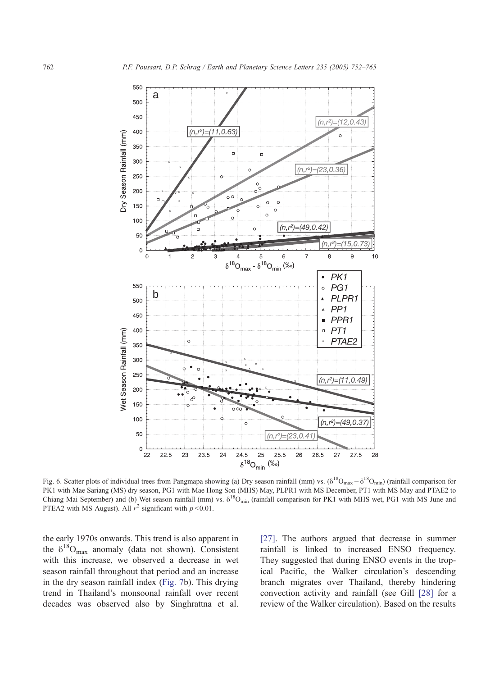<span id="page-10-0"></span>![](_page_10_Figure_1.jpeg)

Fig. 6. Scatter plots of individual trees from Pangmapa showing (a) Dry season rainfall (mm) vs.  $(\delta^{18}O_{max} - \delta^{18}O_{min})$  (rainfall comparison for PK1 with Mae Sariang (MS) dry season, PG1 with Mae Hong Son (MHS) May, PLPR1 with MS December, PT1 with MS May and PTAE2 to Chiang Mai September) and (b) Wet season rainfall (mm) vs.  $\delta^{18}O_{min}$  (rainfall comparison for PK1 with MHS wet, PG1 with MS June and PTEA2 with MS August). All  $r^2$  significant with  $p < 0.01$ .

the early 1970s onwards. This trend is also apparent in the  $\delta^{18}O_{\text{max}}$  anomaly (data not shown). Consistent with this increase, we observed a decrease in wet season rainfall throughout that period and an increase in the dry season rainfall index ([Fig. 7b](#page-11-0)). This drying trend in Thailand's monsoonal rainfall over recent decades was observed also by Singhrattna et al.

[\[27\].](#page-13-0) The authors argued that decrease in summer rainfall is linked to increased ENSO frequency. They suggested that during ENSO events in the tropical Pacific, the Walker circulation's descending branch migrates over Thailand, thereby hindering convection activity and rainfall (see Gill [\[28\]](#page-13-0) for a review of the Walker circulation). Based on the results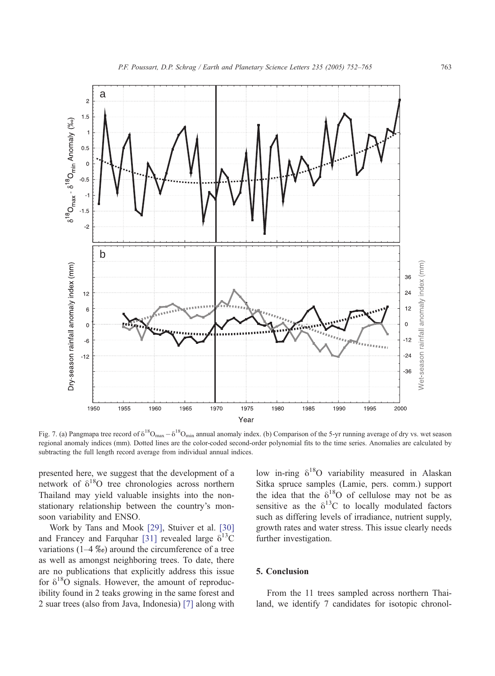<span id="page-11-0"></span>![](_page_11_Figure_1.jpeg)

Fig. 7. (a) Pangmapa tree record of  $\delta^{18}O_{\text{max}} - \delta^{18}O_{\text{min}}$  annual anomaly index. (b) Comparison of the 5-yr running average of dry vs. wet season regional anomaly indices (mm). Dotted lines are the color-coded second-order polynomial fits to the time series. Anomalies are calculated by subtracting the full length record average from individual annual indices.

presented here, we suggest that the development of a network of  $\delta^{18}$ O tree chronologies across northern Thailand may yield valuable insights into the nonstationary relationship between the country's monsoon variability and ENSO.

Work by Tans and Mook [\[29\],](#page-13-0) Stuiver et al. [\[30\]](#page-13-0) and Francey and Farquhar [\[31\]](#page-13-0) revealed large  $\delta^{13}$ C variations (1–4  $\%$ ) around the circumference of a tree as well as amongst neighboring trees. To date, there are no publications that explicitly address this issue for  $\delta^{18}$ O signals. However, the amount of reproducibility found in 2 teaks growing in the same forest and 2 suar trees (also from Java, Indonesia) [\[7\]](#page-12-0) along with

low in-ring  $\delta^{18}O$  variability measured in Alaskan Sitka spruce samples (Lamie, pers. comm.) support the idea that the  $\delta^{18}O$  of cellulose may not be as sensitive as the  $\delta^{13}$ C to locally modulated factors such as differing levels of irradiance, nutrient supply, growth rates and water stress. This issue clearly needs further investigation.

## 5. Conclusion

From the 11 trees sampled across northern Thailand, we identify 7 candidates for isotopic chronol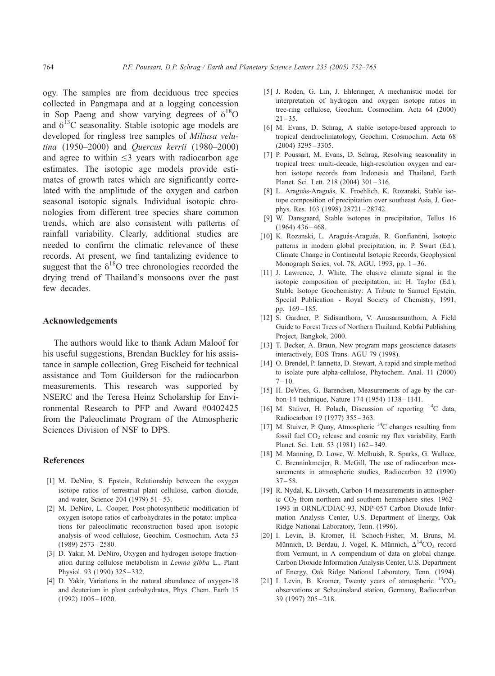<span id="page-12-0"></span>ogy. The samples are from deciduous tree species collected in Pangmapa and at a logging concession in Sop Paeng and show varying degrees of  $\delta^{18}O$ and  $\delta^{13}$ C seasonality. Stable isotopic age models are developed for ringless tree samples of Miliusa velutina (1950–2000) and Quercus kerrii (1980–2000) and agree to within  $\leq 3$  years with radiocarbon age estimates. The isotopic age models provide estimates of growth rates which are significantly correlated with the amplitude of the oxygen and carbon seasonal isotopic signals. Individual isotopic chronologies from different tree species share common trends, which are also consistent with patterns of rainfall variability. Clearly, additional studies are needed to confirm the climatic relevance of these records. At present, we find tantalizing evidence to suggest that the  $\delta^{18}O$  tree chronologies recorded the drying trend of Thailand's monsoons over the past few decades.

#### Acknowledgements

The authors would like to thank Adam Maloof for his useful suggestions, Brendan Buckley for his assistance in sample collection, Greg Eischeid for technical assistance and Tom Guilderson for the radiocarbon measurements. This research was supported by NSERC and the Teresa Heinz Scholarship for Environmental Research to PFP and Award #0402425 from the Paleoclimate Program of the Atmospheric Sciences Division of NSF to DPS.

#### References

- [1] M. DeNiro, S. Epstein, Relationship between the oxygen isotope ratios of terrestrial plant cellulose, carbon dioxide, and water, Science 204 (1979) 51 – 53.
- [2] M. DeNiro, L. Cooper, Post-photosynthetic modification of oxygen isotope ratios of carbohydrates in the potato: implications for paleoclimatic reconstruction based upon isotopic analysis of wood cellulose, Geochim. Cosmochim. Acta 53 (1989) 2573 – 2580.
- [3] D. Yakir, M. DeNiro, Oxygen and hydrogen isotope fractionation during cellulose metabolism in Lemna gibba L., Plant Physiol. 93 (1990) 325 – 332.
- [4] D. Yakir, Variations in the natural abundance of oxygen-18 and deuterium in plant carbohydrates, Phys. Chem. Earth 15 (1992) 1005 – 1020.
- [5] J. Roden, G. Lin, J. Ehleringer, A mechanistic model for interpretation of hydrogen and oxygen isotope ratios in tree-ring cellulose, Geochim. Cosmochim. Acta 64 (2000)  $21 - 35$
- [6] M. Evans, D. Schrag, A stable isotope-based approach to tropical dendroclimatology, Geochim. Cosmochim. Acta 68 (2004) 3295 – 3305.
- [7] P. Poussart, M. Evans, D. Schrag, Resolving seasonality in tropical trees: multi-decade, high-resolution oxygen and carbon isotope records from Indonesia and Thailand, Earth Planet. Sci. Lett. 218 (2004) 301 – 316.
- [8] L. Araguás-Araguás, K. Froehlich, K. Rozanski, Stable isotope composition of precipitation over southeast Asia, J. Geophys. Res. 103 (1998) 28721 – 28742.
- [9] W. Dansgaard, Stable isotopes in precipitation, Tellus 16  $(1964)$  436 – 468.
- [10] K. Rozanski, L. Araguás-Araguás, R. Gonfiantini, Isotopic patterns in modern global precipitation, in: P. Swart (Ed.), Climate Change in Continental Isotopic Records, Geophysical Monograph Series, vol. 78, AGU, 1993, pp. 1 – 36.
- [11] J. Lawrence, J. White, The elusive climate signal in the isotopic composition of precipitation, in: H. Taylor (Ed.), Stable Isotope Geochemistry: A Tribute to Samuel Epstein, Special Publication - Royal Society of Chemistry, 1991, pp. 169 – 185.
- [12] S. Gardner, P. Sidisunthorn, V. Anusarnsunthorn, A Field Guide to Forest Trees of Northern Thailand, Kobfai Publishing Project, Bangkok, 2000.
- [13] T. Becker, A. Braun, New program maps geoscience datasets interactively, EOS Trans. AGU 79 (1998).
- [14] O. Brendel, P. Iannetta, D. Stewart, A rapid and simple method to isolate pure alpha-cellulose, Phytochem. Anal. 11 (2000)  $7 - 10.$
- [15] H. DeVries, G. Barendsen, Measurements of age by the carbon-14 technique, Nature 174 (1954) 1138 – 1141.
- [16] M. Stuiver, H. Polach, Discussion of reporting <sup>14</sup>C data, Radiocarbon 19 (1977) 355 – 363.
- [17] M. Stuiver, P. Quay, Atmospheric 14C changes resulting from fossil fuel CO<sub>2</sub> release and cosmic ray flux variability, Earth Planet. Sci. Lett. 53 (1981) 162-349.
- [18] M. Manning, D. Lowe, W. Melhuish, R. Sparks, G. Wallace, C. Brenninkmeijer, R. McGill, The use of radiocarbon measurements in atmospheric studies, Radiocarbon 32 (1990)  $37 - 58$ .
- [19] R. Nydal, K. Lövseth, Carbon-14 measurements in atmospheric  $CO<sub>2</sub>$  from northern and southern hemisphere sites. 1962– 1993 in ORNL/CDIAC-93, NDP-057 Carbon Dioxide Information Analysis Center, U.S. Department of Energy, Oak Ridge National Laboratory, Tenn. (1996).
- [20] I. Levin, B. Kromer, H. Schoch-Fisher, M. Bruns, M. Münnich, D. Berdau, J. Vogel, K. Münnich,  $\Delta^{14}CO_2$  record from Vermunt, in A compendium of data on global change. Carbon Dioxide Information Analysis Center, U.S. Department of Energy, Oak Ridge National Laboratory, Tenn. (1994).
- [21] I. Levin, B. Kromer, Twenty years of atmospheric  $^{14}CO<sub>2</sub>$ observations at Schauinsland station, Germany, Radiocarbon 39 (1997) 205 – 218.